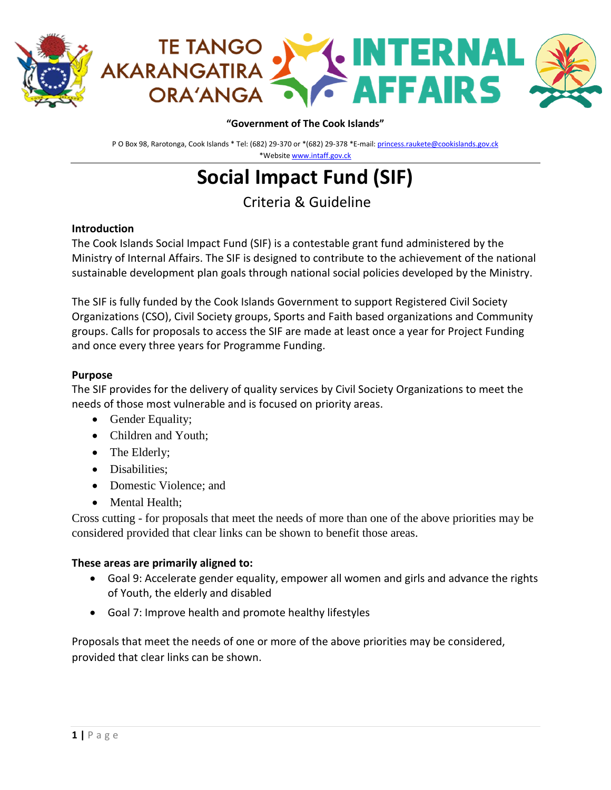



## **"Government of The Cook Islands"**

P O Box 98, Rarotonga, Cook Islands \* Tel: (682) 29-370 or \*(682) 29-378 \*E-mail[: princess.raukete@cookislands.gov.ck](mailto:princess.raukete@cookislands.gov.ck) \*Websit[e www.intaff.gov.ck](http://www.intaff.gov.ck/)

# **Social Impact Fund (SIF)**

## Criteria & Guideline

## **Introduction**

The Cook Islands Social Impact Fund (SIF) is a contestable grant fund administered by the Ministry of Internal Affairs. The SIF is designed to contribute to the achievement of the national sustainable development plan goals through national social policies developed by the Ministry.

The SIF is fully funded by the Cook Islands Government to support Registered Civil Society Organizations (CSO), Civil Society groups, Sports and Faith based organizations and Community groups. Calls for proposals to access the SIF are made at least once a year for Project Funding and once every three years for Programme Funding.

## **Purpose**

The SIF provides for the delivery of quality services by Civil Society Organizations to meet the needs of those most vulnerable and is focused on priority areas.

- Gender Equality;
- Children and Youth;
- The Elderly;
- Disabilities;
- Domestic Violence; and
- Mental Health:

Cross cutting - for proposals that meet the needs of more than one of the above priorities may be considered provided that clear links can be shown to benefit those areas.

## **These areas are primarily aligned to:**

- Goal 9: Accelerate gender equality, empower all women and girls and advance the rights of Youth, the elderly and disabled
- Goal 7: Improve health and promote healthy lifestyles

Proposals that meet the needs of one or more of the above priorities may be considered, provided that clear links can be shown.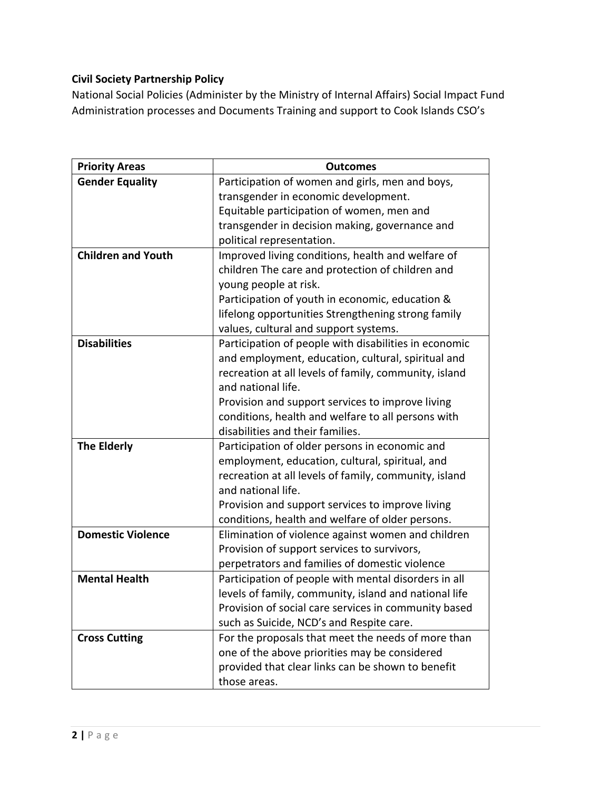## **Civil Society Partnership Policy**

National Social Policies (Administer by the Ministry of Internal Affairs) Social Impact Fund Administration processes and Documents Training and support to Cook Islands CSO's

| <b>Priority Areas</b>     | <b>Outcomes</b>                                       |
|---------------------------|-------------------------------------------------------|
| <b>Gender Equality</b>    | Participation of women and girls, men and boys,       |
|                           | transgender in economic development.                  |
|                           | Equitable participation of women, men and             |
|                           | transgender in decision making, governance and        |
|                           | political representation.                             |
| <b>Children and Youth</b> | Improved living conditions, health and welfare of     |
|                           | children The care and protection of children and      |
|                           | young people at risk.                                 |
|                           | Participation of youth in economic, education &       |
|                           | lifelong opportunities Strengthening strong family    |
|                           | values, cultural and support systems.                 |
| <b>Disabilities</b>       | Participation of people with disabilities in economic |
|                           | and employment, education, cultural, spiritual and    |
|                           | recreation at all levels of family, community, island |
|                           | and national life.                                    |
|                           | Provision and support services to improve living      |
|                           | conditions, health and welfare to all persons with    |
|                           | disabilities and their families.                      |
| <b>The Elderly</b>        | Participation of older persons in economic and        |
|                           | employment, education, cultural, spiritual, and       |
|                           | recreation at all levels of family, community, island |
|                           | and national life.                                    |
|                           | Provision and support services to improve living      |
|                           | conditions, health and welfare of older persons.      |
| <b>Domestic Violence</b>  | Elimination of violence against women and children    |
|                           | Provision of support services to survivors,           |
|                           | perpetrators and families of domestic violence        |
| <b>Mental Health</b>      | Participation of people with mental disorders in all  |
|                           | levels of family, community, island and national life |
|                           | Provision of social care services in community based  |
|                           | such as Suicide, NCD's and Respite care.              |
| <b>Cross Cutting</b>      | For the proposals that meet the needs of more than    |
|                           | one of the above priorities may be considered         |
|                           | provided that clear links can be shown to benefit     |
|                           | those areas.                                          |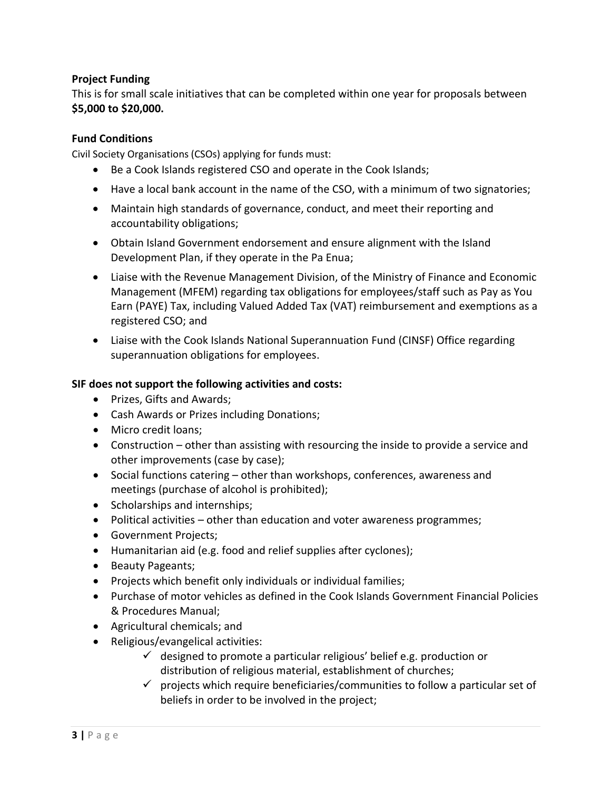## **Project Funding**

This is for small scale initiatives that can be completed within one year for proposals between **\$5,000 to \$20,000.**

## **Fund Conditions**

Civil Society Organisations (CSOs) applying for funds must:

- Be a Cook Islands registered CSO and operate in the Cook Islands;
- Have a local bank account in the name of the CSO, with a minimum of two signatories;
- Maintain high standards of governance, conduct, and meet their reporting and accountability obligations;
- Obtain Island Government endorsement and ensure alignment with the Island Development Plan, if they operate in the Pa Enua;
- Liaise with the Revenue Management Division, of the Ministry of Finance and Economic Management (MFEM) regarding tax obligations for employees/staff such as Pay as You Earn (PAYE) Tax, including Valued Added Tax (VAT) reimbursement and exemptions as a registered CSO; and
- Liaise with the Cook Islands National Superannuation Fund (CINSF) Office regarding superannuation obligations for employees.

## **SIF does not support the following activities and costs:**

- Prizes, Gifts and Awards;
- Cash Awards or Prizes including Donations;
- Micro credit loans;
- Construction other than assisting with resourcing the inside to provide a service and other improvements (case by case);
- Social functions catering other than workshops, conferences, awareness and meetings (purchase of alcohol is prohibited);
- Scholarships and internships;
- Political activities other than education and voter awareness programmes;
- **•** Government Projects;
- Humanitarian aid (e.g. food and relief supplies after cyclones);
- Beauty Pageants;
- Projects which benefit only individuals or individual families;
- Purchase of motor vehicles as defined in the Cook Islands Government Financial Policies & Procedures Manual;
- Agricultural chemicals; and
- Religious/evangelical activities:
	- $\checkmark$  designed to promote a particular religious' belief e.g. production or distribution of religious material, establishment of churches;
	- $\checkmark$  projects which require beneficiaries/communities to follow a particular set of beliefs in order to be involved in the project;